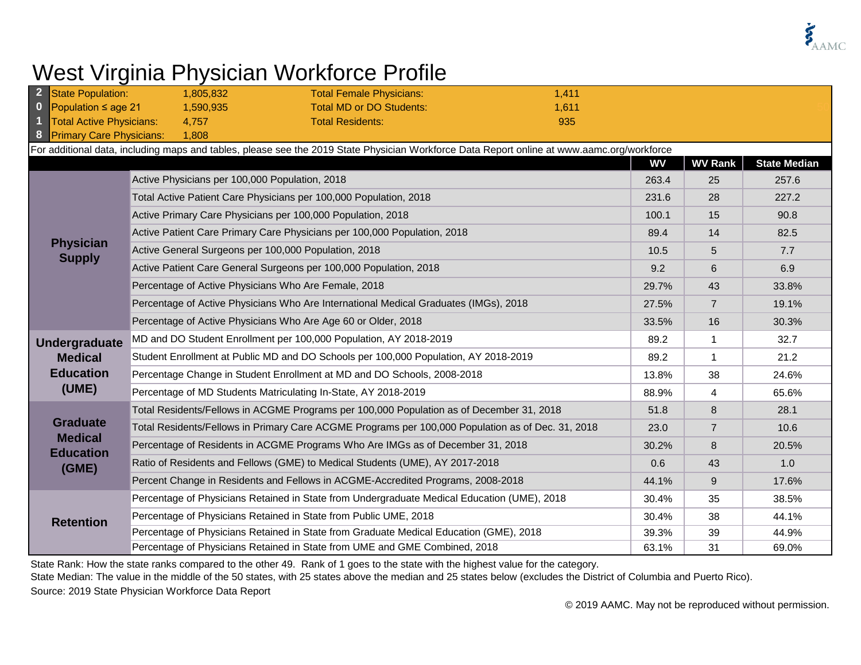

## West Virginia Physician Workforce Profile

|                                      | State Population:                                                                                                                          | 1,805,832                                      | <b>Total Female Physicians:</b>                                                                   | 1,411 |       |                |                     |  |  |
|--------------------------------------|--------------------------------------------------------------------------------------------------------------------------------------------|------------------------------------------------|---------------------------------------------------------------------------------------------------|-------|-------|----------------|---------------------|--|--|
| $\bf{0}$<br>Population $\leq$ age 21 |                                                                                                                                            | 1,590,935                                      | <b>Total MD or DO Students:</b>                                                                   | 1,611 |       |                |                     |  |  |
|                                      | Total Active Physicians:                                                                                                                   | 4,757                                          | <b>Total Residents:</b>                                                                           | 935   |       |                |                     |  |  |
| 8                                    | <b>Primary Care Physicians:</b>                                                                                                            | 1,808                                          |                                                                                                   |       |       |                |                     |  |  |
|                                      | For additional data, including maps and tables, please see the 2019 State Physician Workforce Data Report online at www.aamc.org/workforce |                                                |                                                                                                   |       |       |                |                     |  |  |
|                                      |                                                                                                                                            |                                                |                                                                                                   |       | WV    | <b>WV Rank</b> | <b>State Median</b> |  |  |
|                                      | <b>Physician</b><br><b>Supply</b>                                                                                                          | Active Physicians per 100,000 Population, 2018 |                                                                                                   |       | 263.4 | 25             | 257.6               |  |  |
|                                      |                                                                                                                                            |                                                | Total Active Patient Care Physicians per 100,000 Population, 2018                                 |       | 231.6 | 28             | 227.2               |  |  |
|                                      |                                                                                                                                            |                                                | Active Primary Care Physicians per 100,000 Population, 2018                                       |       | 100.1 | 15             | 90.8                |  |  |
|                                      |                                                                                                                                            |                                                | Active Patient Care Primary Care Physicians per 100,000 Population, 2018                          |       | 89.4  | 14             | 82.5                |  |  |
|                                      |                                                                                                                                            |                                                | Active General Surgeons per 100,000 Population, 2018                                              |       | 10.5  | 5              | 7.7                 |  |  |
|                                      |                                                                                                                                            |                                                | Active Patient Care General Surgeons per 100,000 Population, 2018                                 |       | 9.2   | 6              | 6.9                 |  |  |
|                                      |                                                                                                                                            |                                                | Percentage of Active Physicians Who Are Female, 2018                                              |       | 29.7% | 43             | 33.8%               |  |  |
|                                      |                                                                                                                                            |                                                | Percentage of Active Physicians Who Are International Medical Graduates (IMGs), 2018              |       | 27.5% | $\overline{7}$ | 19.1%               |  |  |
|                                      |                                                                                                                                            |                                                | Percentage of Active Physicians Who Are Age 60 or Older, 2018                                     |       | 33.5% | 16             | 30.3%               |  |  |
|                                      | <b>Undergraduate</b><br><b>Medical</b><br><b>Education</b><br>(UME)                                                                        |                                                | MD and DO Student Enrollment per 100,000 Population, AY 2018-2019                                 |       | 89.2  | 1              | 32.7                |  |  |
|                                      |                                                                                                                                            |                                                | Student Enrollment at Public MD and DO Schools per 100,000 Population, AY 2018-2019               |       | 89.2  | $\mathbf 1$    | 21.2                |  |  |
|                                      |                                                                                                                                            |                                                | Percentage Change in Student Enrollment at MD and DO Schools, 2008-2018                           |       | 13.8% | 38             | 24.6%               |  |  |
|                                      |                                                                                                                                            |                                                | Percentage of MD Students Matriculating In-State, AY 2018-2019                                    |       | 88.9% | 4              | 65.6%               |  |  |
|                                      | <b>Graduate</b><br><b>Medical</b><br><b>Education</b><br>(GME)                                                                             |                                                | Total Residents/Fellows in ACGME Programs per 100,000 Population as of December 31, 2018          |       | 51.8  | 8              | 28.1                |  |  |
|                                      |                                                                                                                                            |                                                | Total Residents/Fellows in Primary Care ACGME Programs per 100,000 Population as of Dec. 31, 2018 |       | 23.0  | $\overline{7}$ | 10.6                |  |  |
|                                      |                                                                                                                                            |                                                | Percentage of Residents in ACGME Programs Who Are IMGs as of December 31, 2018                    |       | 30.2% | 8              | 20.5%               |  |  |
|                                      |                                                                                                                                            |                                                | Ratio of Residents and Fellows (GME) to Medical Students (UME), AY 2017-2018                      |       | 0.6   | 43             | 1.0                 |  |  |
|                                      |                                                                                                                                            |                                                | Percent Change in Residents and Fellows in ACGME-Accredited Programs, 2008-2018                   |       | 44.1% | 9              | 17.6%               |  |  |
|                                      | <b>Retention</b>                                                                                                                           |                                                | Percentage of Physicians Retained in State from Undergraduate Medical Education (UME), 2018       |       | 30.4% | 35             | 38.5%               |  |  |
|                                      |                                                                                                                                            |                                                | Percentage of Physicians Retained in State from Public UME, 2018                                  |       | 30.4% | 38             | 44.1%               |  |  |
|                                      |                                                                                                                                            |                                                | Percentage of Physicians Retained in State from Graduate Medical Education (GME), 2018            |       | 39.3% | 39             | 44.9%               |  |  |
|                                      |                                                                                                                                            |                                                | Percentage of Physicians Retained in State from UME and GME Combined, 2018                        |       | 63.1% | 31             | 69.0%               |  |  |

State Rank: How the state ranks compared to the other 49. Rank of 1 goes to the state with the highest value for the category.

Source: 2019 State Physician Workforce Data Report State Median: The value in the middle of the 50 states, with 25 states above the median and 25 states below (excludes the District of Columbia and Puerto Rico).

© 2019 AAMC. May not be reproduced without permission.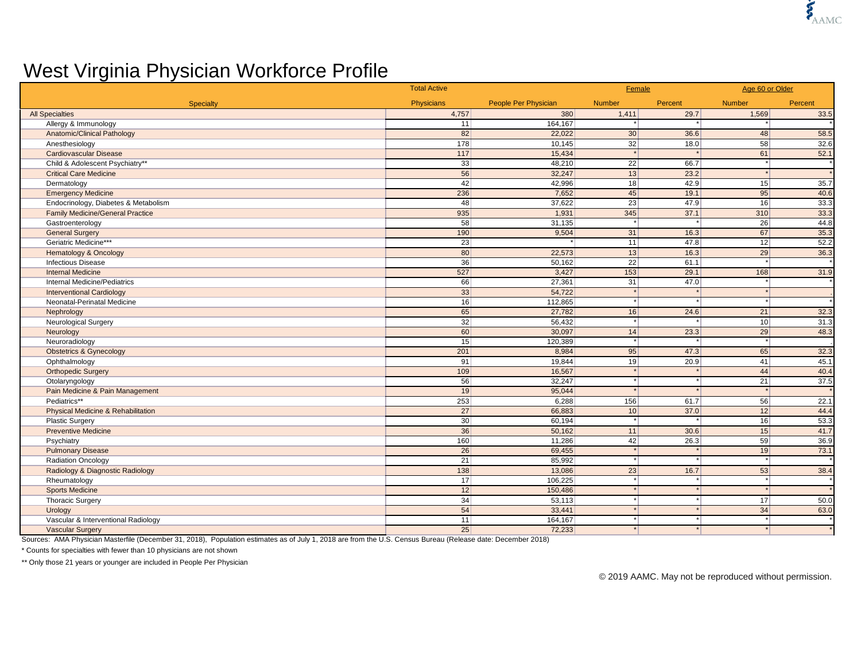## West Virginia Physician Workforce Profile

|                                               | <b>Total Active</b> |                             | Female                 |         | Age 60 or Older |         |
|-----------------------------------------------|---------------------|-----------------------------|------------------------|---------|-----------------|---------|
| Specialty                                     | Physicians          | <b>People Per Physician</b> | <b>Number</b>          | Percent | <b>Number</b>   | Percent |
| <b>All Specialties</b>                        | 4,757               | 380                         | 1,411                  | 29.7    | 1,569           | 33.5    |
| Allergy & Immunology                          | 11                  | 164,167                     |                        |         |                 |         |
| <b>Anatomic/Clinical Pathology</b>            | 82                  | 22,022                      | 30                     | 36.6    | 48              | 58.5    |
| Anesthesiology                                | 178                 | 10,145                      | 32                     | 18.0    | 58              | 32.6    |
| <b>Cardiovascular Disease</b>                 | 117                 | 15,434                      | $\cdot$                |         | 61              | 52.1    |
| Child & Adolescent Psychiatry**               | 33                  | 48,210                      | 22                     | 66.7    |                 |         |
| <b>Critical Care Medicine</b>                 | 56                  | 32,247                      | 13                     | 23.2    | $\star$         |         |
| Dermatology                                   | 42                  | 42,996                      | 18                     | 42.9    | 15              | 35.7    |
| <b>Emergency Medicine</b>                     | 236                 | 7.652                       | 45                     | 19.1    | 95              | 40.6    |
| Endocrinology, Diabetes & Metabolism          | 48                  | 37,622                      | 23                     | 47.9    | 16              | 33.3    |
| <b>Family Medicine/General Practice</b>       | 935                 | 1.931                       | 345                    | 37.1    | 310             | 33.3    |
| Gastroenterology                              | 58                  | 31,135                      | $\star$                |         | 26              | 44.8    |
| <b>General Surgery</b>                        | 190                 | 9,504                       | 31                     | 16.3    | 67              | 35.3    |
| Geriatric Medicine***                         | 23                  |                             | 11                     | 47.8    | 12              | 52.2    |
| <b>Hematology &amp; Oncology</b>              | 80                  | 22,573                      | 13                     | 16.3    | 29              | 36.3    |
| <b>Infectious Disease</b>                     | 36                  | 50,162                      | 22                     | 61.1    | $\star$         |         |
| <b>Internal Medicine</b>                      | 527                 | 3,427                       | 153                    | 29.1    | 168             | 31.9    |
| <b>Internal Medicine/Pediatrics</b>           | 66                  | 27,361                      | 31                     | 47.0    | $\star$         |         |
| <b>Interventional Cardiology</b>              | 33                  | 54,722                      | $\star$                |         |                 |         |
| Neonatal-Perinatal Medicine                   | 16                  | 112.865                     | $\star$                |         |                 |         |
| Nephrology                                    | 65                  | 27,782                      | 16                     | 24.6    | 21              | 32.3    |
| <b>Neurological Surgery</b>                   | 32                  | 56,432                      | $\star$                |         | 10 <sup>1</sup> | 31.3    |
| Neurology                                     | 60                  | 30,097                      | 14                     | 23.3    | 29              | 48.3    |
| Neuroradiology                                | 15                  | 120,389                     | $\star$                |         | $\star$         |         |
| <b>Obstetrics &amp; Gynecology</b>            | 201                 | 8,984                       | 95                     | 47.3    | 65              | 32.3    |
| Ophthalmology                                 | 91                  | 19,844                      | 19                     | 20.9    | 41              | 45.1    |
| <b>Orthopedic Surgery</b>                     | 109                 | 16,567                      | $\star$                |         | 44              | 40.4    |
| Otolaryngology                                | 56                  | 32.247                      | $\star$                | $\star$ | 21              | 37.5    |
| Pain Medicine & Pain Management               | 19                  | 95,044                      | $\star$                |         | $\star$         |         |
| Pediatrics**                                  | 253                 | 6,288                       | 156                    | 61.7    | 56              | 22.1    |
| <b>Physical Medicine &amp; Rehabilitation</b> | 27                  | 66,883                      | 10                     | 37.0    | 12              | 44.4    |
| <b>Plastic Surgery</b>                        | 30                  | 60,194                      | $\left  \cdot \right $ |         | 16              | 53.3    |
| <b>Preventive Medicine</b>                    | 36                  | 50,162                      | 11                     | 30.6    | 15              | 41.7    |
| Psychiatry                                    | 160                 | 11,286                      | 42                     | 26.3    | 59              | 36.9    |
| <b>Pulmonary Disease</b>                      | 26                  | 69,455                      | $\star$                |         | 19              | 73.1    |
| <b>Radiation Oncology</b>                     | 21                  | 85,992                      | $\star$                |         | $\cdot$         |         |
| Radiology & Diagnostic Radiology              | 138                 | 13,086                      | 23                     | 16.7    | 53              | 38.4    |
| Rheumatology                                  | 17                  | 106,225                     | $^\star$               |         |                 |         |
| <b>Sports Medicine</b>                        | 12                  | 150,486                     | $\star$                | $\star$ | $\star$         |         |
| Thoracic Surgery                              | 34                  | 53,113                      | $\star$                |         | 17              | 50.0    |
| Urology                                       | 54                  | 33,441                      |                        |         | 34              | 63.0    |
| Vascular & Interventional Radiology           | 11                  | 164,167                     |                        |         |                 |         |
| <b>Vascular Surgery</b>                       | 25                  | 72,233                      | $\star$                | $\star$ | $\star$         |         |

Sources: AMA Physician Masterfile (December 31, 2018), Population estimates as of July 1, 2018 are from the U.S. Census Bureau (Release date: December 2018)

\* Counts for specialties with fewer than 10 physicians are not shown

\*\* Only those 21 years or younger are included in People Per Physician